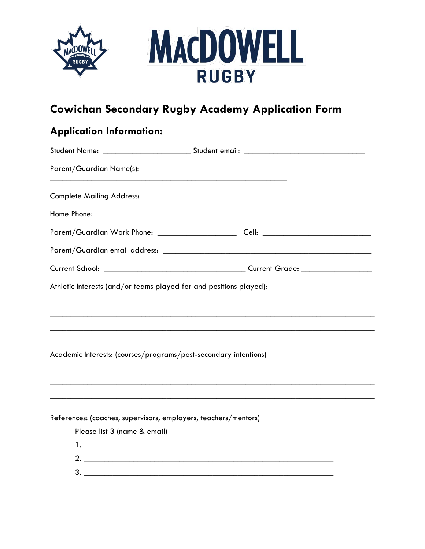



# **Cowichan Secondary Rugby Academy Application Form**

# **Application Information:**

|                                                                 | Student Name: ______________________________Student email: _____________________ |  |
|-----------------------------------------------------------------|----------------------------------------------------------------------------------|--|
| Parent/Guardian Name(s):                                        |                                                                                  |  |
|                                                                 |                                                                                  |  |
|                                                                 |                                                                                  |  |
|                                                                 |                                                                                  |  |
|                                                                 |                                                                                  |  |
|                                                                 |                                                                                  |  |
|                                                                 | Athletic Interests (and/or teams played for and positions played):               |  |
|                                                                 |                                                                                  |  |
|                                                                 |                                                                                  |  |
|                                                                 | Academic Interests: (courses/programs/post-secondary intentions)                 |  |
|                                                                 |                                                                                  |  |
|                                                                 | ,我们也不能在这里的时候,我们也不能在这里的时候,我们也不能在这里的时候,我们也不能会在这里的时候,我们也不能会在这里的时候,我们也不能会在这里的时候,我们也不 |  |
| References: (coaches, supervisors, employers, teachers/mentors) |                                                                                  |  |
| Please list 3 (name & email)                                    |                                                                                  |  |
|                                                                 |                                                                                  |  |
|                                                                 | 2. $\overline{\phantom{a}}$                                                      |  |
|                                                                 |                                                                                  |  |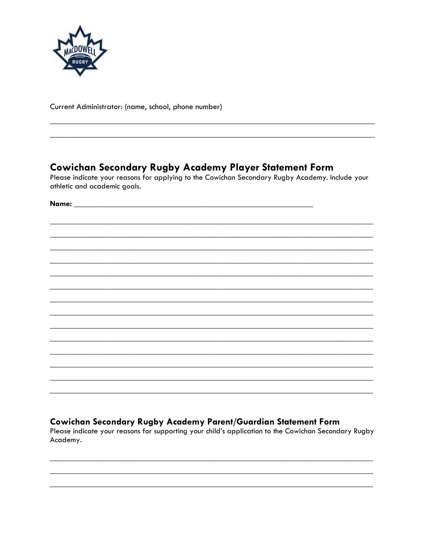

Current Administrator: (name, school, phone number)

### **Cowichan Secondary Rugby Academy Player Statement Form**

Please indicate your reasons for applying to the Cowichan Secondary Rugby Academy. Include your athletic and academic goals.

Name: We have a state of the state of the state of the state of the state of the state of the state of the state of the state of the state of the state of the state of the state of the state of the state of the state of th

### Cowichan Secondary Rugby Academy Parent/Guardian Statement Form

Please indicate your reasons for supporting your child's application to the Cowichan Secondary Rugby Academy.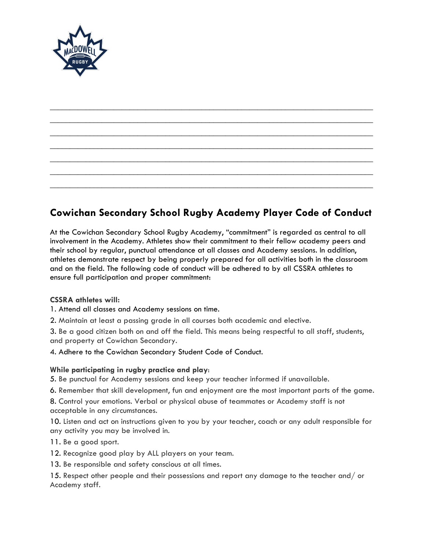

## **Cowichan Secondary School Rugby Academy Player Code of Conduct**

\_\_\_\_\_\_\_\_\_\_\_\_\_\_\_\_\_\_\_\_\_\_\_\_\_\_\_\_\_\_\_\_\_\_\_\_\_\_\_\_\_\_\_\_\_\_\_\_\_\_\_\_\_\_\_\_\_\_\_\_\_\_\_\_\_\_\_\_\_\_\_\_\_\_\_\_\_\_\_\_\_ \_\_\_\_\_\_\_\_\_\_\_\_\_\_\_\_\_\_\_\_\_\_\_\_\_\_\_\_\_\_\_\_\_\_\_\_\_\_\_\_\_\_\_\_\_\_\_\_\_\_\_\_\_\_\_\_\_\_\_\_\_\_\_\_\_\_\_\_\_\_\_\_\_\_\_\_\_\_\_\_\_ \_\_\_\_\_\_\_\_\_\_\_\_\_\_\_\_\_\_\_\_\_\_\_\_\_\_\_\_\_\_\_\_\_\_\_\_\_\_\_\_\_\_\_\_\_\_\_\_\_\_\_\_\_\_\_\_\_\_\_\_\_\_\_\_\_\_\_\_\_\_\_\_\_\_\_\_\_\_\_\_\_ \_\_\_\_\_\_\_\_\_\_\_\_\_\_\_\_\_\_\_\_\_\_\_\_\_\_\_\_\_\_\_\_\_\_\_\_\_\_\_\_\_\_\_\_\_\_\_\_\_\_\_\_\_\_\_\_\_\_\_\_\_\_\_\_\_\_\_\_\_\_\_\_\_\_\_\_\_\_\_\_\_ \_\_\_\_\_\_\_\_\_\_\_\_\_\_\_\_\_\_\_\_\_\_\_\_\_\_\_\_\_\_\_\_\_\_\_\_\_\_\_\_\_\_\_\_\_\_\_\_\_\_\_\_\_\_\_\_\_\_\_\_\_\_\_\_\_\_\_\_\_\_\_\_\_\_\_\_\_\_\_\_\_ \_\_\_\_\_\_\_\_\_\_\_\_\_\_\_\_\_\_\_\_\_\_\_\_\_\_\_\_\_\_\_\_\_\_\_\_\_\_\_\_\_\_\_\_\_\_\_\_\_\_\_\_\_\_\_\_\_\_\_\_\_\_\_\_\_\_\_\_\_\_\_\_\_\_\_\_\_\_\_\_\_ \_\_\_\_\_\_\_\_\_\_\_\_\_\_\_\_\_\_\_\_\_\_\_\_\_\_\_\_\_\_\_\_\_\_\_\_\_\_\_\_\_\_\_\_\_\_\_\_\_\_\_\_\_\_\_\_\_\_\_\_\_\_\_\_\_\_\_\_\_\_\_\_\_\_\_\_\_\_\_\_\_

At the Cowichan Secondary School Rugby Academy, "commitment" is regarded as central to all involvement in the Academy. Athletes show their commitment to their fellow academy peers and their school by regular, punctual attendance at all classes and Academy sessions. In addition, athletes demonstrate respect by being properly prepared for all activities both in the classroom and on the field. The following code of conduct will be adhered to by all CSSRA athletes to ensure full participation and proper commitment:

#### **CSSRA athletes will:**

1. Attend all classes and Academy sessions on time.

2. Maintain at least a passing grade in all courses both academic and elective.

3. Be a good citizen both on and off the field. This means being respectful to all staff, students, and property at Cowichan Secondary.

4. Adhere to the Cowichan Secondary Student Code of Conduct.

#### **While participating in rugby practice and play**:

5. Be punctual for Academy sessions and keep your teacher informed if unavailable.

6. Remember that skill development, fun and enjoyment are the most important parts of the game.

8. Control your emotions. Verbal or physical abuse of teammates or Academy staff is not acceptable in any circumstances.

10. Listen and act on instructions given to you by your teacher, coach or any adult responsible for any activity you may be involved in.

11. Be a good sport.

12. Recognize good play by ALL players on your team.

13. Be responsible and safety conscious at all times.

15. Respect other people and their possessions and report any damage to the teacher and/ or Academy staff.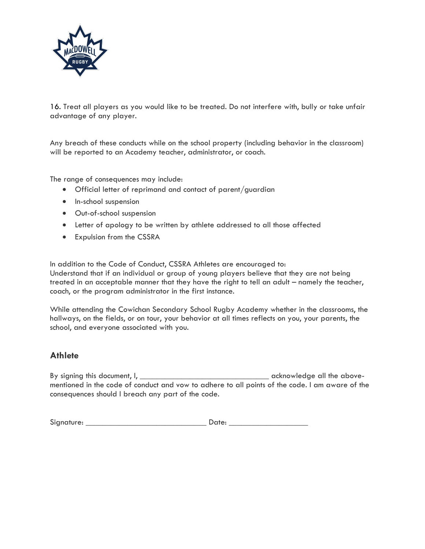

16. Treat all players as you would like to be treated. Do not interfere with, bully or take unfair advantage of any player.

Any breach of these conducts while on the school property (including behavior in the classroom) will be reported to an Academy teacher, administrator, or coach.

The range of consequences may include:

- Official letter of reprimand and contact of parent/guardian
- In-school suspension
- Out-of-school suspension
- Letter of apology to be written by athlete addressed to all those affected
- Expulsion from the CSSRA

In addition to the Code of Conduct, CSSRA Athletes are encouraged to: Understand that if an individual or group of young players believe that they are not being treated in an acceptable manner that they have the right to tell an adult – namely the teacher, coach, or the program administrator in the first instance.

While attending the Cowichan Secondary School Rugby Academy whether in the classrooms, the hallways, on the fields, or on tour, your behavior at all times reflects on you, your parents, the school, and everyone associated with you.

#### **Athlete**

By signing this document, I, \_\_\_\_\_\_\_\_\_\_\_\_\_\_\_\_\_\_\_\_\_\_\_\_\_\_\_\_\_\_\_ acknowledge all the abovementioned in the code of conduct and vow to adhere to all points of the code. I am aware of the consequences should I breach any part of the code.